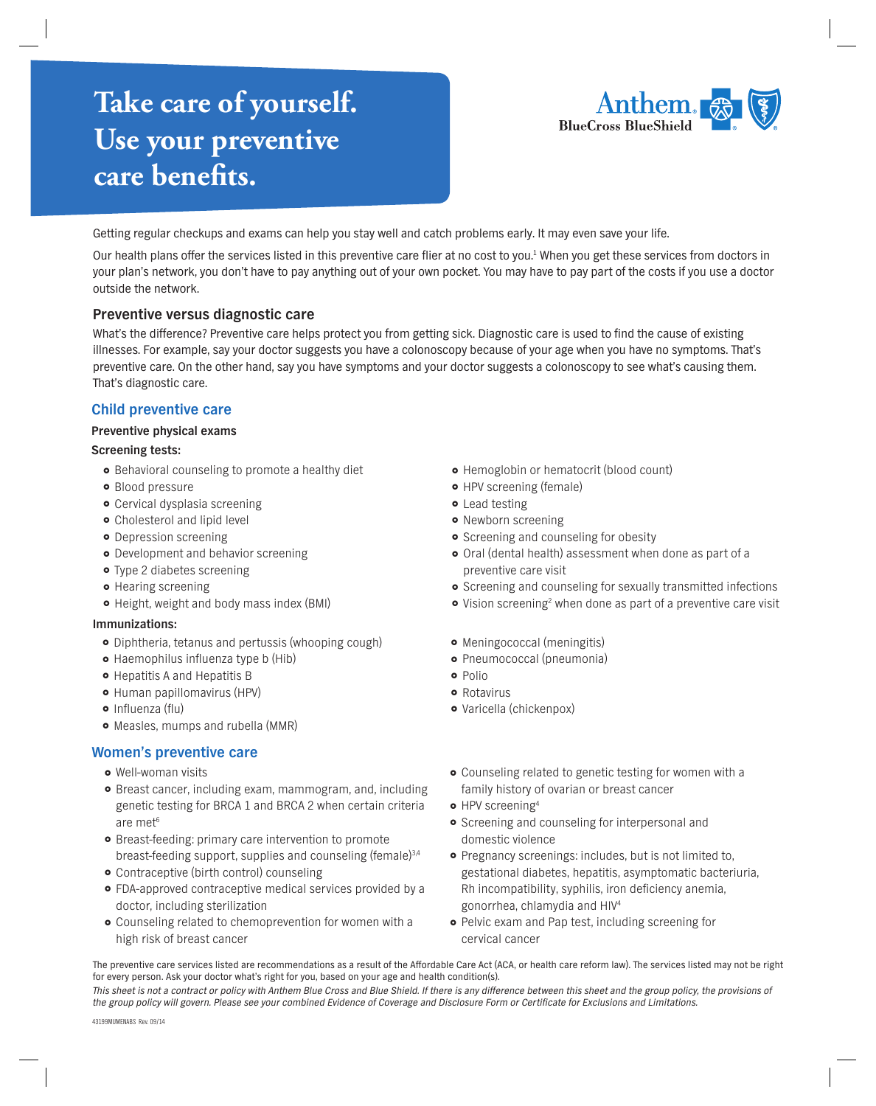# **Take care of yourself. Use your preventive** care benefits.



Getting regular checkups and exams can help you stay well and catch problems early. It may even save your life.

Our health plans offer the services listed in this preventive care flier at no cost to you.<sup>1</sup> When you get these services from doctors in your plan's network, you don't have to pay anything out of your own pocket. You may have to pay part of the costs if you use a doctor outside the network.

## **Preventive versus diagnostic care**

What's the difference? Preventive care helps protect you from getting sick. Diagnostic care is used to find the cause of existing illnesses. For example, say your doctor suggests you have a colonoscopy because of your age when you have no symptoms. That's preventive care. On the other hand, say you have symptoms and your doctor suggests a colonoscopy to see what's causing them. That's diagnostic care.

## **Child preventive care**

#### **Preventive physical exams**

#### **Screening tests:**

- **•** Behavioral counseling to promote a healthy diet
- **•** Blood pressure
- Cervical dysplasia screening
- Cholesterol and lipid level
- **•** Depression screening
- **•** Development and behavior screening
- Type 2 diabetes screening
- **•** Hearing screening
- Height, weight and body mass index (BMI)

#### **Immunizations:**

- Diphtheria, tetanus and pertussis (whooping cough)
- Haemophilus influenza type b (Hib)
- **•** Hepatitis A and Hepatitis B
- Human papillomavirus (HPV)
- $\bullet$  Influenza (flu)
- Measles, mumps and rubella (MMR)

## **Women's preventive care**

- Well-woman visits
- Breast cancer, including exam, mammogram, and, including genetic testing for BRCA 1 and BRCA 2 when certain criteria are met<sup>6</sup>
- Breast-feeding: primary care intervention to promote breast-feeding support, supplies and counseling (female)<sup>3,4</sup>
- Contraceptive (birth control) counseling
- FDA-approved contraceptive medical services provided by a doctor, including sterilization
- Counseling related to chemoprevention for women with a high risk of breast cancer
- Hemoglobin or hematocrit (blood count)
- HPV screening (female)
- **•** Lead testing
- Newborn screening
- **•** Screening and counseling for obesity
- Oral (dental health) assessment when done as part of a preventive care visit
- **•** Screening and counseling for sexually transmitted infections
- Vision screening<sup>2</sup> when done as part of a preventive care visit
- Meningococcal (meningitis) Pneumococcal (pneumonia)
- o Polio
- **o** Rotavirus
- Varicella (chickenpox)
- Counseling related to genetic testing for women with a family history of ovarian or breast cancer
- HPV screening<sup>4</sup>
- **•** Screening and counseling for interpersonal and domestic violence
- Pregnancy screenings: includes, but is not limited to, gestational diabetes, hepatitis, asymptomatic bacteriuria, Rh incompatibility, syphilis, iron deficiency anemia, gonorrhea, chlamydia and HIV4
- **•** Pelvic exam and Pap test, including screening for cervical cancer

The preventive care services listed are recommendations as a result of the Affordable Care Act (ACA, or health care reform law). The services listed may not be right for every person. Ask your doctor what's right for you, based on your age and health condition(s).

This sheet is not a contract or policy with Anthem Blue Cross and Blue Shield. If there is any difference between this sheet and the group policy, the provisions of the group policy will govern. Please see your combined Evidence of Coverage and Disclosure Form or Certificate for Exclusions and Limitations.